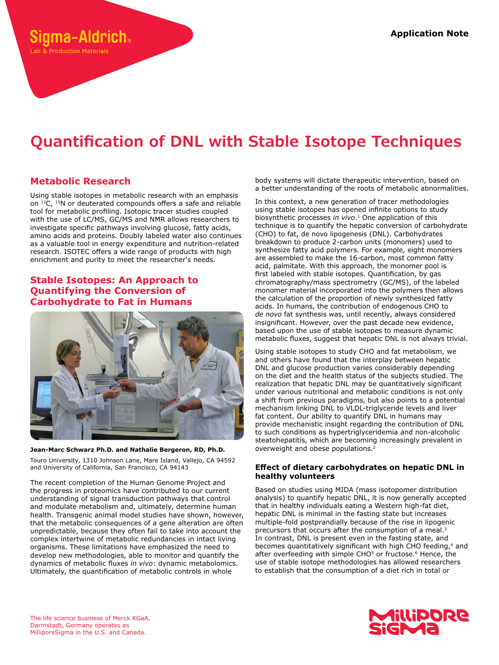# **Quantification of DNL with Stable Isotope Techniques**

# **Metabolic Research**

**ama-Aldrich** 

ab & Production Materials

Using stable isotopes in metabolic research with an emphasis on <sup>13</sup>C, <sup>15</sup>N or deuterated compounds offers a safe and reliable tool for metabolic profiling. Isotopic tracer studies coupled with the use of LC/MS, GC/MS and NMR allows researchers to investigate specific pathways involving glucose, fatty acids, amino acids and proteins. Doubly labeled water also continues as a valuable tool in energy expenditure and nutrition-related research. ISOTEC offers a wide range of products with high enrichment and purity to meet the researcher's needs.

## **Stable Isotopes: An Approach to Quantifying the Conversion of Carbohydrate to Fat in Humans**



**Jean-Marc Schwarz Ph.D. and Nathalie Bergeron, RD, Ph.D.** Touro University, 1310 Johnson Lane, Mare Island, Vallejo, CA 94592 and University of California, San Francisco, CA 94143

The recent completion of the Human Genome Project and the progress in proteomics have contributed to our current understanding of signal transduction pathways that control and modulate metabolism and, ultimately, determine human health. Transgenic animal model studies have shown, however, that the metabolic consequences of a gene alteration are often unpredictable, because they often fail to take into account the complex intertwine of metabolic redundancies in intact living organisms. These limitations have emphasized the need to develop new methodologies, able to monitor and quantify the dynamics of metabolic fluxes *in vivo*: dynamic metabolomics. Ultimately, the quantification of metabolic controls in whole

body systems will dictate therapeutic intervention, based on a better understanding of the roots of metabolic abnormalities.

In this context, a new generation of tracer methodologies using stable isotopes has opened infinite options to study biosynthetic processes *in vivo*.1 One application of this technique is to quantify the hepatic conversion of carbohydrate (CHO) to fat, de novo lipogenesis (DNL). Carbohydrates breakdown to produce 2‑carbon units (monomers) used to synthesize fatty acid polymers. For example, eight monomers are assembled to make the 16‑carbon, most common fatty acid, palmitate. With this approach, the monomer pool is first labeled with stable isotopes. Quantification, by gas chromatography/mass spectrometry (GC/MS), of the labeled monomer material incorporated into the polymers then allows the calculation of the proportion of newly synthesized fatty acids. In humans, the contribution of endogenous CHO to *de novo* fat synthesis was, until recently, always considered insignificant. However, over the past decade new evidence, based upon the use of stable isotopes to measure dynamic metabolic fluxes, suggest that hepatic DNL is not always trivial.

Using stable isotopes to study CHO and fat metabolism, we and others have found that the interplay between hepatic DNL and glucose production varies considerably depending on the diet and the health status of the subjects studied. The realization that hepatic DNL may be quantitatively significant under various nutritional and metabolic conditions is not only a shift from previous paradigms, but also points to a potential mechanism linking DNL to VLDL-triglyceride levels and liver fat content. Our ability to quantify DNL in humans may provide mechanistic insight regarding the contribution of DNL to such conditions as hypertriglyceridemia and non-alcoholic steatohepatitis, which are becoming increasingly prevalent in overweight and obese populations.2

### **Effect of dietary carbohydrates on hepatic DNL in healthy volunteers**

Based on studies using MIDA (mass isotopomer distribution analysis) to quantify hepatic DNL, it is now generally accepted that in healthy individuals eating a Western high-fat diet, hepatic DNL is minimal in the fasting state but increases multiple-fold postprandially because of the rise in lipogenic precursors that occurs after the consumption of a meal.<sup>3</sup> In contrast, DNL is present even in the fasting state, and becomes quantitatively significant with high CHO feeding,<sup>4</sup> and after overfeeding with simple CHO<sup>5</sup> or fructose.<sup>6</sup> Hence, the use of stable isotope methodologies has allowed researchers to establish that the consumption of a diet rich in total or



The life science business of Merck KGaA, Darmstadt, Germany operates as MilliporeSigma in the U.S. and Canada.